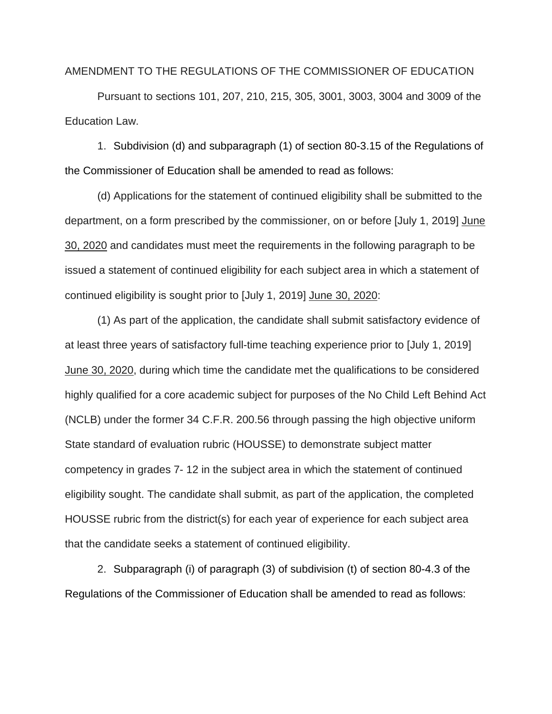## AMENDMENT TO THE REGULATIONS OF THE COMMISSIONER OF EDUCATION

Pursuant to sections 101, 207, 210, 215, 305, 3001, 3003, 3004 and 3009 of the Education Law.

1. Subdivision (d) and subparagraph (1) of section 80-3.15 of the Regulations of the Commissioner of Education shall be amended to read as follows:

(d) Applications for the statement of continued eligibility shall be submitted to the department, on a form prescribed by the commissioner, on or before [July 1, 2019] June 30, 2020 and candidates must meet the requirements in the following paragraph to be issued a statement of continued eligibility for each subject area in which a statement of continued eligibility is sought prior to [July 1, 2019] June 30, 2020:

(1) As part of the application, the candidate shall submit satisfactory evidence of at least three years of satisfactory full-time teaching experience prior to [July 1, 2019] June 30, 2020, during which time the candidate met the qualifications to be considered highly qualified for a core academic subject for purposes of the No Child Left Behind Act (NCLB) under the former 34 C.F.R. 200.56 through passing the high objective uniform State standard of evaluation rubric (HOUSSE) to demonstrate subject matter competency in grades 7- 12 in the subject area in which the statement of continued eligibility sought. The candidate shall submit, as part of the application, the completed HOUSSE rubric from the district(s) for each year of experience for each subject area that the candidate seeks a statement of continued eligibility.

2. Subparagraph (i) of paragraph (3) of subdivision (t) of section 80-4.3 of the Regulations of the Commissioner of Education shall be amended to read as follows: